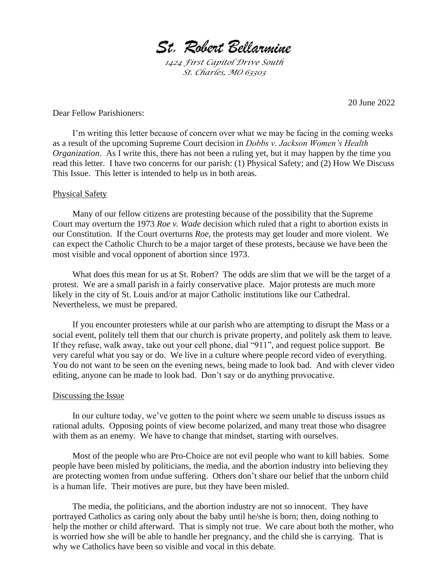St. Robert Bellarmine

*1424 First Capitol Drive South St. Charles, MO 63303*

20 June 2022

Dear Fellow Parishioners:

I'm writing this letter because of concern over what we may be facing in the coming weeks as a result of the upcoming Supreme Court decision in *Dobbs v. Jackson Women's Health Organization*. As I write this, there has not been a ruling yet, but it may happen by the time you read this letter. I have two concerns for our parish: (1) Physical Safety; and (2) How We Discuss This Issue. This letter is intended to help us in both areas.

## Physical Safety

Many of our fellow citizens are protesting because of the possibility that the Supreme Court may overturn the 1973 *Roe v. Wade* decision which ruled that a right to abortion exists in our Constitution. If the Court overturns *Roe*, the protests may get louder and more violent. We can expect the Catholic Church to be a major target of these protests, because we have been the most visible and vocal opponent of abortion since 1973.

What does this mean for us at St. Robert? The odds are slim that we will be the target of a protest. We are a small parish in a fairly conservative place. Major protests are much more likely in the city of St. Louis and/or at major Catholic institutions like our Cathedral. Nevertheless, we must be prepared.

If you encounter protesters while at our parish who are attempting to disrupt the Mass or a social event, politely tell them that our church is private property, and politely ask them to leave. If they refuse, walk away, take out your cell phone, dial "911", and request police support. Be very careful what you say or do. We live in a culture where people record video of everything. You do not want to be seen on the evening news, being made to look bad. And with clever video editing, anyone can be made to look bad. Don't say or do anything provocative.

## Discussing the Issue

In our culture today, we've gotten to the point where we seem unable to discuss issues as rational adults. Opposing points of view become polarized, and many treat those who disagree with them as an enemy. We have to change that mindset, starting with ourselves.

Most of the people who are Pro-Choice are not evil people who want to kill babies. Some people have been misled by politicians, the media, and the abortion industry into believing they are protecting women from undue suffering. Others don't share our belief that the unborn child is a human life. Their motives are pure, but they have been misled.

The media, the politicians, and the abortion industry are not so innocent. They have portrayed Catholics as caring only about the baby until he/she is born; then, doing nothing to help the mother or child afterward. That is simply not true. We care about both the mother, who is worried how she will be able to handle her pregnancy, and the child she is carrying. That is why we Catholics have been so visible and vocal in this debate.